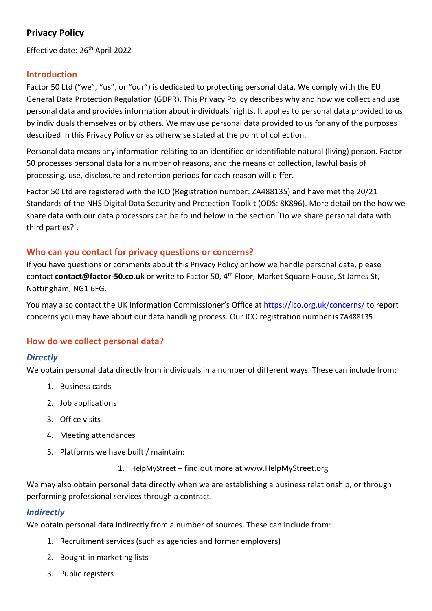# **Privacy Policy**

Effective date: 26<sup>th</sup> April 2022

## **Introduction**

Factor 50 Ltd ("we", "us", or "our") is dedicated to protecting personal data. We comply with the EU General Data Protection Regulation (GDPR). This Privacy Policy describes why and how we collect and use personal data and provides information about individuals' rights. It applies to personal data provided to us by individuals themselves or by others. We may use personal data provided to us for any of the purposes described in this Privacy Policy or as otherwise stated at the point of collection.

Personal data means any information relating to an identified or identifiable natural (living) person. Factor 50 processes personal data for a number of reasons, and the means of collection, lawful basis of processing, use, disclosure and retention periods for each reason will differ.

Factor 50 Ltd are registered with the ICO (Registration number: ZA488135) and have met the 20/21 Standards of the NHS Digital Data Security and Protection Toolkit (ODS: 8K896). More detail on the how we share data with our data processors can be found below in the section 'Do we share personal data with third parties?'.

## **Who can you contact for privacy questions or concerns?**

If you have questions or comments about this Privacy Policy or how we handle personal data, please contact contact@factor-50.co.uk or write to Factor 50, 4<sup>th</sup> Floor, Market Square House, St James St, Nottingham, NG1 6FG.

You may also contact the UK Information Commissioner's Office at https://ico.org.uk/concerns/ to report concerns you may have about our data handling process. Our ICO registration number is ZA488135.

## **How do we collect personal data?**

## *Directly*

We obtain personal data directly from individuals in a number of different ways. These can include from:

- 1. Business cards
- 2. Job applications
- 3. Office visits
- 4. Meeting attendances
- 5. Platforms we have built / maintain:
	- 1. HelpMyStreet find out more at www.HelpMyStreet.org

We may also obtain personal data directly when we are establishing a business relationship, or through performing professional services through a contract.

## *Indirectly*

We obtain personal data indirectly from a number of sources. These can include from:

- 1. Recruitment services (such as agencies and former employers)
- 2. Bought-in marketing lists
- 3. Public registers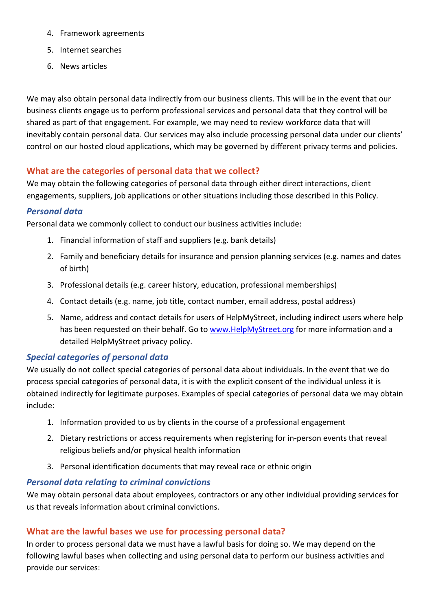- 4. Framework agreements
- 5. Internet searches
- 6. News articles

We may also obtain personal data indirectly from our business clients. This will be in the event that our business clients engage us to perform professional services and personal data that they control will be shared as part of that engagement. For example, we may need to review workforce data that will inevitably contain personal data. Our services may also include processing personal data under our clients' control on our hosted cloud applications, which may be governed by different privacy terms and policies.

## **What are the categories of personal data that we collect?**

We may obtain the following categories of personal data through either direct interactions, client engagements, suppliers, job applications or other situations including those described in this Policy.

## *Personal data*

Personal data we commonly collect to conduct our business activities include:

- 1. Financial information of staff and suppliers (e.g. bank details)
- 2. Family and beneficiary details for insurance and pension planning services (e.g. names and dates of birth)
- 3. Professional details (e.g. career history, education, professional memberships)
- 4. Contact details (e.g. name, job title, contact number, email address, postal address)
- 5. Name, address and contact details for users of HelpMyStreet, including indirect users where help has been requested on their behalf. Go to www.HelpMyStreet.org for more information and a detailed HelpMyStreet privacy policy.

## *Special categories of personal data*

We usually do not collect special categories of personal data about individuals. In the event that we do process special categories of personal data, it is with the explicit consent of the individual unless it is obtained indirectly for legitimate purposes. Examples of special categories of personal data we may obtain include:

- 1. Information provided to us by clients in the course of a professional engagement
- 2. Dietary restrictions or access requirements when registering for in-person events that reveal religious beliefs and/or physical health information
- 3. Personal identification documents that may reveal race or ethnic origin

## *Personal data relating to criminal convictions*

We may obtain personal data about employees, contractors or any other individual providing services for us that reveals information about criminal convictions.

## **What are the lawful bases we use for processing personal data?**

In order to process personal data we must have a lawful basis for doing so. We may depend on the following lawful bases when collecting and using personal data to perform our business activities and provide our services: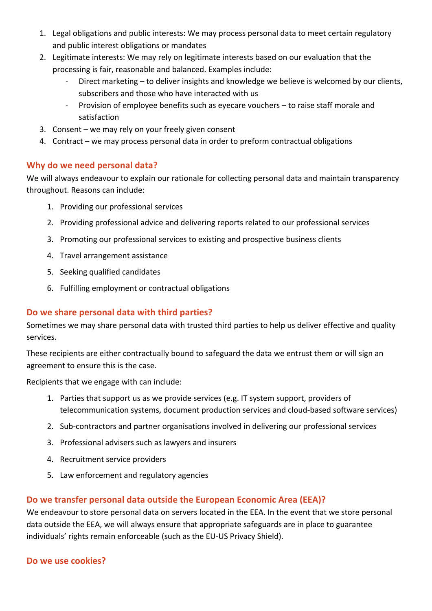- 1. Legal obligations and public interests: We may process personal data to meet certain regulatory and public interest obligations or mandates
- 2. Legitimate interests: We may rely on legitimate interests based on our evaluation that the processing is fair, reasonable and balanced. Examples include:
	- Direct marketing to deliver insights and knowledge we believe is welcomed by our clients, subscribers and those who have interacted with us
	- Provision of employee benefits such as eyecare vouchers to raise staff morale and satisfaction
- 3. Consent we may rely on your freely given consent
- 4. Contract we may process personal data in order to preform contractual obligations

## **Why do we need personal data?**

We will always endeavour to explain our rationale for collecting personal data and maintain transparency throughout. Reasons can include:

- 1. Providing our professional services
- 2. Providing professional advice and delivering reports related to our professional services
- 3. Promoting our professional services to existing and prospective business clients
- 4. Travel arrangement assistance
- 5. Seeking qualified candidates
- 6. Fulfilling employment or contractual obligations

## **Do we share personal data with third parties?**

Sometimes we may share personal data with trusted third parties to help us deliver effective and quality services.

These recipients are either contractually bound to safeguard the data we entrust them or will sign an agreement to ensure this is the case.

Recipients that we engage with can include:

- 1. Parties that support us as we provide services (e.g. IT system support, providers of telecommunication systems, document production services and cloud-based software services)
- 2. Sub-contractors and partner organisations involved in delivering our professional services
- 3. Professional advisers such as lawyers and insurers
- 4. Recruitment service providers
- 5. Law enforcement and regulatory agencies

## **Do we transfer personal data outside the European Economic Area (EEA)?**

We endeavour to store personal data on servers located in the EEA. In the event that we store personal data outside the EEA, we will always ensure that appropriate safeguards are in place to guarantee individuals' rights remain enforceable (such as the EU-US Privacy Shield).

#### **Do we use cookies?**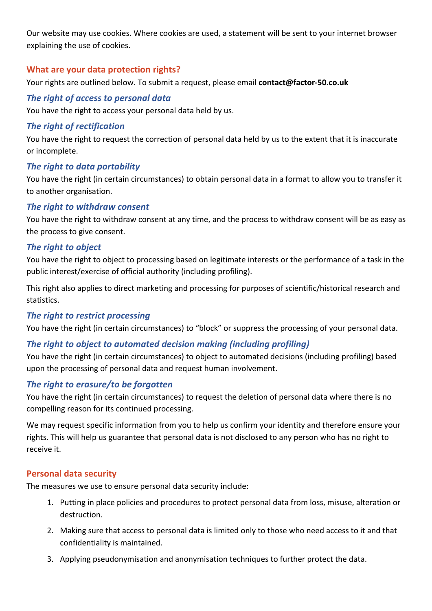Our website may use cookies. Where cookies are used, a statement will be sent to your internet browser explaining the use of cookies.

## **What are your data protection rights?**

Your rights are outlined below. To submit a request, please email **contact@factor-50.co.uk**

### *The right of access to personal data*

You have the right to access your personal data held by us.

### *The right of rectification*

You have the right to request the correction of personal data held by us to the extent that it is inaccurate or incomplete.

#### *The right to data portability*

You have the right (in certain circumstances) to obtain personal data in a format to allow you to transfer it to another organisation.

### *The right to withdraw consent*

You have the right to withdraw consent at any time, and the process to withdraw consent will be as easy as the process to give consent.

### *The right to object*

You have the right to object to processing based on legitimate interests or the performance of a task in the public interest/exercise of official authority (including profiling).

This right also applies to direct marketing and processing for purposes of scientific/historical research and statistics.

## *The right to restrict processing*

You have the right (in certain circumstances) to "block" or suppress the processing of your personal data.

## *The right to object to automated decision making (including profiling)*

You have the right (in certain circumstances) to object to automated decisions (including profiling) based upon the processing of personal data and request human involvement.

#### *The right to erasure/to be forgotten*

You have the right (in certain circumstances) to request the deletion of personal data where there is no compelling reason for its continued processing.

We may request specific information from you to help us confirm your identity and therefore ensure your rights. This will help us guarantee that personal data is not disclosed to any person who has no right to receive it.

#### **Personal data security**

The measures we use to ensure personal data security include:

- 1. Putting in place policies and procedures to protect personal data from loss, misuse, alteration or destruction.
- 2. Making sure that access to personal data is limited only to those who need access to it and that confidentiality is maintained.
- 3. Applying pseudonymisation and anonymisation techniques to further protect the data.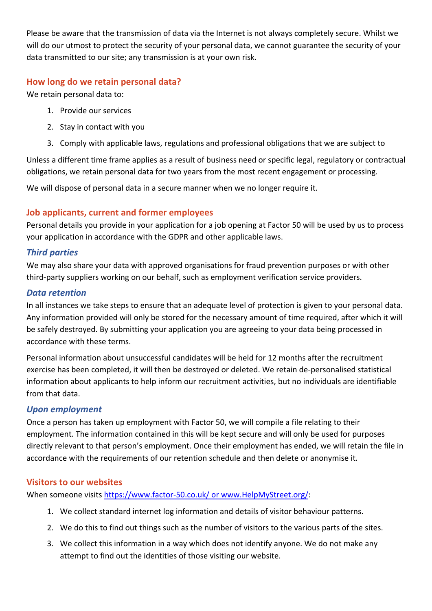Please be aware that the transmission of data via the Internet is not always completely secure. Whilst we will do our utmost to protect the security of your personal data, we cannot guarantee the security of your data transmitted to our site; any transmission is at your own risk.

## **How long do we retain personal data?**

We retain personal data to:

- 1. Provide our services
- 2. Stay in contact with you
- 3. Comply with applicable laws, regulations and professional obligations that we are subject to

Unless a different time frame applies as a result of business need or specific legal, regulatory or contractual obligations, we retain personal data for two years from the most recent engagement or processing.

We will dispose of personal data in a secure manner when we no longer require it.

## **Job applicants, current and former employees**

Personal details you provide in your application for a job opening at Factor 50 will be used by us to process your application in accordance with the GDPR and other applicable laws.

## *Third parties*

We may also share your data with approved organisations for fraud prevention purposes or with other third-party suppliers working on our behalf, such as employment verification service providers.

## *Data retention*

In all instances we take steps to ensure that an adequate level of protection is given to your personal data. Any information provided will only be stored for the necessary amount of time required, after which it will be safely destroyed. By submitting your application you are agreeing to your data being processed in accordance with these terms.

Personal information about unsuccessful candidates will be held for 12 months after the recruitment exercise has been completed, it will then be destroyed or deleted. We retain de-personalised statistical information about applicants to help inform our recruitment activities, but no individuals are identifiable from that data.

## *Upon employment*

Once a person has taken up employment with Factor 50, we will compile a file relating to their employment. The information contained in this will be kept secure and will only be used for purposes directly relevant to that person's employment. Once their employment has ended, we will retain the file in accordance with the requirements of our retention schedule and then delete or anonymise it.

## **Visitors to our websites**

When someone visits https://www.factor-50.co.uk/ or www.HelpMyStreet.org/:

- 1. We collect standard internet log information and details of visitor behaviour patterns.
- 2. We do this to find out things such as the number of visitors to the various parts of the sites.
- 3. We collect this information in a way which does not identify anyone. We do not make any attempt to find out the identities of those visiting our website.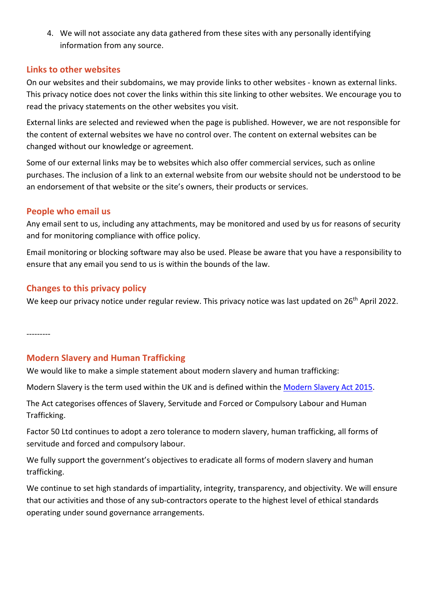4. We will not associate any data gathered from these sites with any personally identifying information from any source.

### **Links to other websites**

On our websites and their subdomains, we may provide links to other websites - known as external links. This privacy notice does not cover the links within this site linking to other websites. We encourage you to read the privacy statements on the other websites you visit.

External links are selected and reviewed when the page is published. However, we are not responsible for the content of external websites we have no control over. The content on external websites can be changed without our knowledge or agreement.

Some of our external links may be to websites which also offer commercial services, such as online purchases. The inclusion of a link to an external website from our website should not be understood to be an endorsement of that website or the site's owners, their products or services.

### **People who email us**

Any email sent to us, including any attachments, may be monitored and used by us for reasons of security and for monitoring compliance with office policy.

Email monitoring or blocking software may also be used. Please be aware that you have a responsibility to ensure that any email you send to us is within the bounds of the law.

## **Changes to this privacy policy**

We keep our privacy notice under regular review. This privacy notice was last updated on 26<sup>th</sup> April 2022.

---------

## **Modern Slavery and Human Trafficking**

We would like to make a simple statement about modern slavery and human trafficking:

Modern Slavery is the term used within the UK and is defined within the Modern Slavery Act 2015.

The Act categorises offences of Slavery, Servitude and Forced or Compulsory Labour and Human Trafficking.

Factor 50 Ltd continues to adopt a zero tolerance to modern slavery, human trafficking, all forms of servitude and forced and compulsory labour.

We fully support the government's objectives to eradicate all forms of modern slavery and human trafficking.

We continue to set high standards of impartiality, integrity, transparency, and objectivity. We will ensure that our activities and those of any sub-contractors operate to the highest level of ethical standards operating under sound governance arrangements.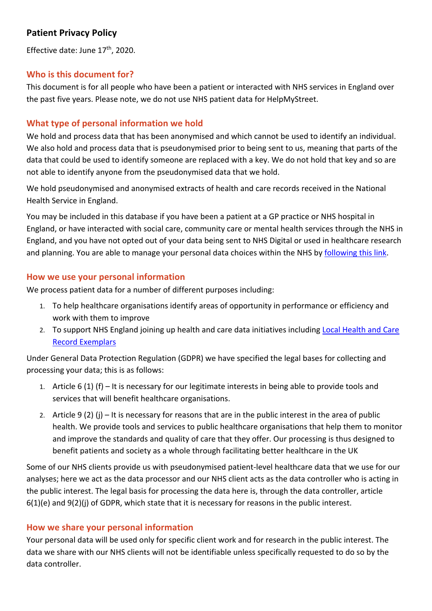# **Patient Privacy Policy**

Effective date: June 17<sup>th</sup>, 2020.

## **Who is this document for?**

This document is for all people who have been a patient or interacted with NHS services in England over the past five years. Please note, we do not use NHS patient data for HelpMyStreet.

## **What type of personal information we hold**

We hold and process data that has been anonymised and which cannot be used to identify an individual. We also hold and process data that is pseudonymised prior to being sent to us, meaning that parts of the data that could be used to identify someone are replaced with a key. We do not hold that key and so are not able to identify anyone from the pseudonymised data that we hold.

We hold pseudonymised and anonymised extracts of health and care records received in the National Health Service in England.

You may be included in this database if you have been a patient at a GP practice or NHS hospital in England, or have interacted with social care, community care or mental health services through the NHS in England, and you have not opted out of your data being sent to NHS Digital or used in healthcare research and planning. You are able to manage your personal data choices within the NHS by following this link.

## **How we use your personal information**

We process patient data for a number of different purposes including:

- 1. To help healthcare organisations identify areas of opportunity in performance or efficiency and work with them to improve
- 2. To support NHS England joining up health and care data initiatives including Local Health and Care Record Exemplars

Under General Data Protection Regulation (GDPR) we have specified the legal bases for collecting and processing your data; this is as follows:

- 1. Article 6 (1) (f) It is necessary for our legitimate interests in being able to provide tools and services that will benefit healthcare organisations.
- 2. Article 9 (2) (j) It is necessary for reasons that are in the public interest in the area of public health. We provide tools and services to public healthcare organisations that help them to monitor and improve the standards and quality of care that they offer. Our processing is thus designed to benefit patients and society as a whole through facilitating better healthcare in the UK

Some of our NHS clients provide us with pseudonymised patient-level healthcare data that we use for our analyses; here we act as the data processor and our NHS client acts as the data controller who is acting in the public interest. The legal basis for processing the data here is, through the data controller, article 6(1)(e) and 9(2)(j) of GDPR, which state that it is necessary for reasons in the public interest.

## **How we share your personal information**

Your personal data will be used only for specific client work and for research in the public interest. The data we share with our NHS clients will not be identifiable unless specifically requested to do so by the data controller.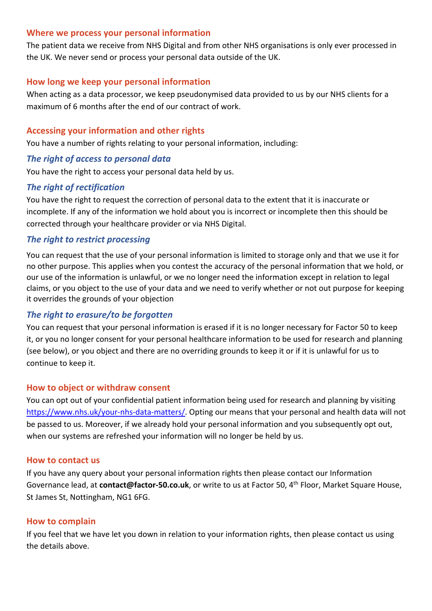#### **Where we process your personal information**

The patient data we receive from NHS Digital and from other NHS organisations is only ever processed in the UK. We never send or process your personal data outside of the UK.

### **How long we keep your personal information**

When acting as a data processor, we keep pseudonymised data provided to us by our NHS clients for a maximum of 6 months after the end of our contract of work.

### **Accessing your information and other rights**

You have a number of rights relating to your personal information, including:

### *The right of access to personal data*

You have the right to access your personal data held by us.

### *The right of rectification*

You have the right to request the correction of personal data to the extent that it is inaccurate or incomplete. If any of the information we hold about you is incorrect or incomplete then this should be corrected through your healthcare provider or via NHS Digital.

## *The right to restrict processing*

You can request that the use of your personal information is limited to storage only and that we use it for no other purpose. This applies when you contest the accuracy of the personal information that we hold, or our use of the information is unlawful, or we no longer need the information except in relation to legal claims, or you object to the use of your data and we need to verify whether or not out purpose for keeping it overrides the grounds of your objection

## *The right to erasure/to be forgotten*

You can request that your personal information is erased if it is no longer necessary for Factor 50 to keep it, or you no longer consent for your personal healthcare information to be used for research and planning (see below), or you object and there are no overriding grounds to keep it or if it is unlawful for us to continue to keep it.

### **How to object or withdraw consent**

You can opt out of your confidential patient information being used for research and planning by visiting https://www.nhs.uk/your-nhs-data-matters/. Opting our means that your personal and health data will not be passed to us. Moreover, if we already hold your personal information and you subsequently opt out, when our systems are refreshed your information will no longer be held by us.

#### **How to contact us**

If you have any query about your personal information rights then please contact our Information Governance lead, at **contact@factor-50.co.uk**, or write to us at Factor 50, 4th Floor, Market Square House, St James St, Nottingham, NG1 6FG.

#### **How to complain**

If you feel that we have let you down in relation to your information rights, then please contact us using the details above.